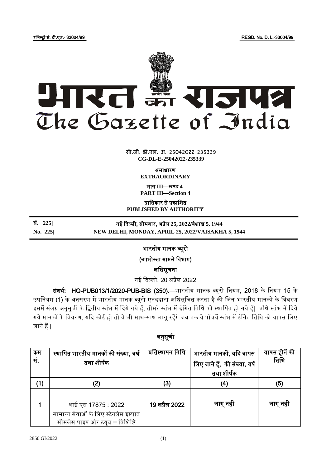रजिस्ट्री सं. डी.एल.- 33004/99 REGD. No. D. L.-33004/99



**xxxGIDHxxx** सी.जी.-डी.एल.-अ.-25042022-235339 **CG-DL-E-25042022-235339**

असाधारण

**EXTRAORDINARY**

भाग **III**—खण् ड **4 PART III—Section 4**

प्राजधकार से प्रकाजित **PUBLISHED BY AUTHORITY**

सं. **225]** नई ददल्ली, सोम ार, अप्रैल **25, 2022**/ ैिाख **5, 1944**

**No. 225] NEW DELHI, MONDAY, APRIL 25, 2022/VAISAKHA 5, 1944**

# भारतीय मानक ब्यूरो

(उपभोक्ता मामले विभाग)

अजधसूचना

नई ददल्ली, 20 अप्रैल 2022

संदर्भ: HQ-PUB013/1/2020-PUB-BIS (350).—भारतीय मानक ब्यूरो नियम, 2018 के नियम 15 के उपनियम (1) के अनुसरण में भारतीय मानक ब्यूरो एतदद्वारा अधिसूचित करता है की जिन भारतीय मानकों के विवरण इसमें संलग्न अनूसूची के द्वितीय स्तंभ में दिये गये हैं, तीसरे स्तंभ में इंगित तिथि को स्थापित हो गये हैं| चौथे स्तंभ में दिये गये मानकों के विवरण, यदि कोई हो तो वे भी साथ-साथ लागू रहेंगे जब तक वे पाँचवें स्तंभ में इंगित तिथि को वापस लिए िाने हैं|

## अनुसूची

| क्रम<br>सं. | स्थापित भारतीय मानकों की संख्या, वर्ष<br>तथा शीर्षक                                           | प्रतिस्थापन तिथि | भारतीय मानकों, यदि वापस<br>लिए जाने हैं, की संख्या, वर्ष<br>तथा शीर्षक | वापस होनें की<br>तिथि |
|-------------|-----------------------------------------------------------------------------------------------|------------------|------------------------------------------------------------------------|-----------------------|
| (1)         | (2)                                                                                           | (3)              | (4)                                                                    | (5)                   |
|             | आई एस 17875 : 2022<br>सामान्य सेवाओं के लिए स्टेनलेस इस्पात<br>सीमलेस पाइप और टयूब ― विशिष्टि | 19 अप्रैल 2022   | लागू नहीं                                                              | लागू नहीं             |